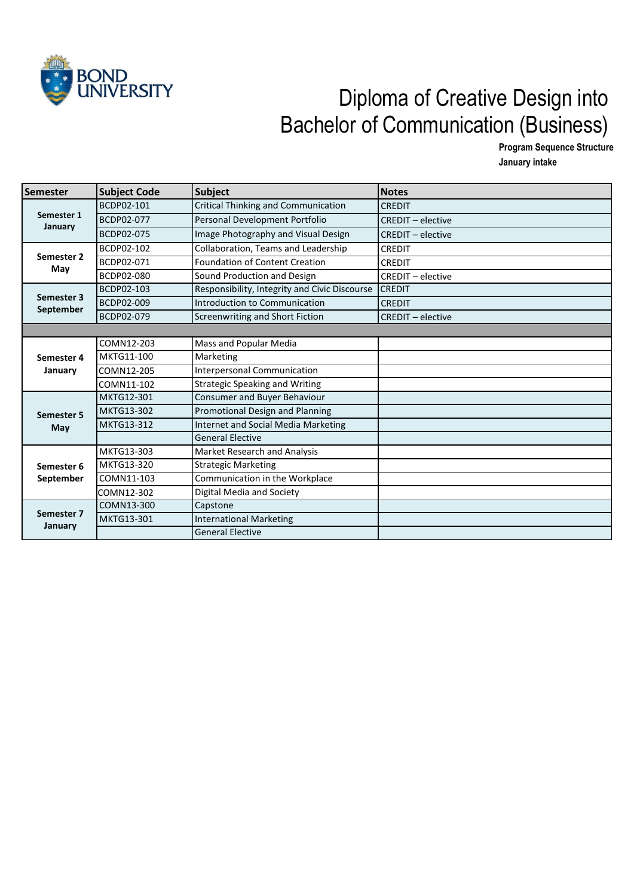

## VIVERSITY Diploma of Creative Design into Bachelor of Communication (Business)

**Program Sequence Structure**

**January intake** 

| Semester                | <b>Subject Code</b> | <b>Subject</b>                                | <b>Notes</b>             |
|-------------------------|---------------------|-----------------------------------------------|--------------------------|
| Semester 1<br>January   | BCDP02-101          | <b>Critical Thinking and Communication</b>    | <b>CREDIT</b>            |
|                         | BCDP02-077          | Personal Development Portfolio                | <b>CREDIT - elective</b> |
|                         | BCDP02-075          | Image Photography and Visual Design           | <b>CREDIT - elective</b> |
| Semester 2<br>May       | BCDP02-102          | Collaboration, Teams and Leadership           | <b>CREDIT</b>            |
|                         | BCDP02-071          | Foundation of Content Creation                | <b>CREDIT</b>            |
|                         | BCDP02-080          | Sound Production and Design                   | <b>CREDIT - elective</b> |
| Semester 3<br>September | BCDP02-103          | Responsibility, Integrity and Civic Discourse | <b>CREDIT</b>            |
|                         | BCDP02-009          | Introduction to Communication                 | <b>CREDIT</b>            |
|                         | <b>BCDP02-079</b>   | Screenwriting and Short Fiction               | $CREDIT - electric$      |
|                         |                     |                                               |                          |
|                         | COMN12-203          | Mass and Popular Media                        |                          |
| Semester 4              | MKTG11-100          | Marketing                                     |                          |
| January                 | COMN12-205          | <b>Interpersonal Communication</b>            |                          |
|                         | COMN11-102          | <b>Strategic Speaking and Writing</b>         |                          |
| Semester 5<br>May       | MKTG12-301          | Consumer and Buyer Behaviour                  |                          |
|                         | <b>MKTG13-302</b>   | Promotional Design and Planning               |                          |
|                         | MKTG13-312          | <b>Internet and Social Media Marketing</b>    |                          |
|                         |                     | <b>General Elective</b>                       |                          |
| Semester 6<br>September | MKTG13-303          | <b>Market Research and Analysis</b>           |                          |
|                         | MKTG13-320          | <b>Strategic Marketing</b>                    |                          |
|                         | COMN11-103          | Communication in the Workplace                |                          |
|                         | COMN12-302          | Digital Media and Society                     |                          |
| Semester 7<br>January   | COMN13-300          | Capstone                                      |                          |
|                         | MKTG13-301          | <b>International Marketing</b>                |                          |
|                         |                     | <b>General Elective</b>                       |                          |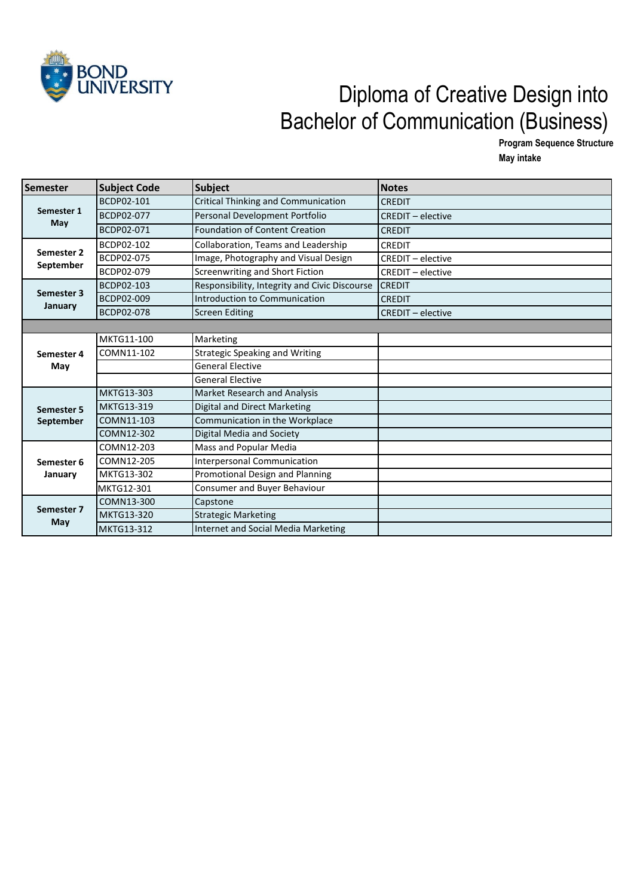

## VERSITY Diploma of Creative Design into Bachelor of Communication (Business)

**Program Sequence Structure May intake** 

| Semester                | <b>Subject Code</b> | <b>Subject</b>                                | <b>Notes</b>             |
|-------------------------|---------------------|-----------------------------------------------|--------------------------|
| Semester 1<br>May       | BCDP02-101          | <b>Critical Thinking and Communication</b>    | <b>CREDIT</b>            |
|                         | <b>BCDP02-077</b>   | Personal Development Portfolio                | <b>CREDIT</b> - elective |
|                         | BCDP02-071          | <b>Foundation of Content Creation</b>         | <b>CREDIT</b>            |
| Semester 2<br>September | BCDP02-102          | Collaboration, Teams and Leadership           | <b>CREDIT</b>            |
|                         | BCDP02-075          | Image, Photography and Visual Design          | <b>CREDIT - elective</b> |
|                         | BCDP02-079          | Screenwriting and Short Fiction               | <b>CREDIT - elective</b> |
| Semester 3              | BCDP02-103          | Responsibility, Integrity and Civic Discourse | <b>CREDIT</b>            |
|                         | <b>BCDP02-009</b>   | Introduction to Communication                 | <b>CREDIT</b>            |
| January                 | <b>BCDP02-078</b>   | <b>Screen Editing</b>                         | <b>CREDIT - elective</b> |
|                         |                     |                                               |                          |
|                         | MKTG11-100          | Marketing                                     |                          |
| Semester 4<br>May       | COMN11-102          | <b>Strategic Speaking and Writing</b>         |                          |
|                         |                     | <b>General Elective</b>                       |                          |
|                         |                     | <b>General Elective</b>                       |                          |
|                         | MKTG13-303          | <b>Market Research and Analysis</b>           |                          |
| <b>Semester 5</b>       | <b>MKTG13-319</b>   | <b>Digital and Direct Marketing</b>           |                          |
| <b>September</b>        | COMN11-103          | Communication in the Workplace                |                          |
|                         | COMN12-302          | Digital Media and Society                     |                          |
| Semester 6<br>January   | COMN12-203          | Mass and Popular Media                        |                          |
|                         | COMN12-205          | Interpersonal Communication                   |                          |
|                         | MKTG13-302          | Promotional Design and Planning               |                          |
|                         | MKTG12-301          | Consumer and Buyer Behaviour                  |                          |
| Semester 7<br>May       | COMN13-300          | Capstone                                      |                          |
|                         | <b>MKTG13-320</b>   | <b>Strategic Marketing</b>                    |                          |
|                         | <b>MKTG13-312</b>   | Internet and Social Media Marketing           |                          |